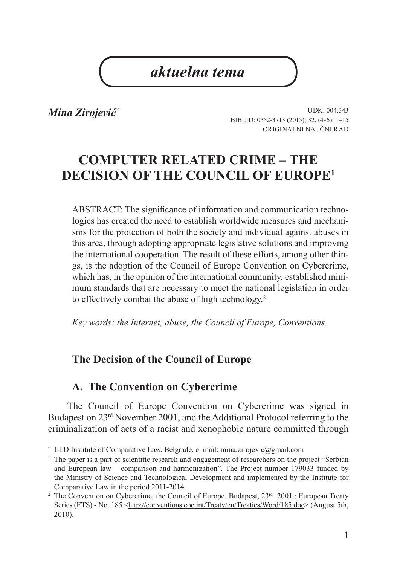# *aktuelna tema*

*Mina Zirojević\**

UDK: 004:343 BIBLID: 0352-3713 (2015); 32, (4-6): 1–15 Originalni naučni rad

# **COMPUTER RELATED CRIME – THE DECISION OF THE COUNCIL OF EUROPE1**

ABSTRACT: The significance of information and communication technologies has created the need to establish worldwide measures and mechanisms for the protection of both the society and individual against abuses in this area, through adopting appropriate legislative solutions and improving the international cooperation. The result of these efforts, among other things, is the adoption of the Council of Europe Convention on Cybercrime, which has, in the opinion of the international community, established minimum standards that are necessary to meet the national legislation in order to effectively combat the abuse of high technology.<sup>2</sup>

*Key words: the Internet, abuse, the Council of Europe, Conventions.* 

### **The Decision of the Council of Europe**

#### **A. The Convention on Cybercrime**

The Council of Europe Convention on Cybercrime was signed in Budapest on 23rd November 2001, and the Additional Protocol referring to the criminalization of acts of a racist and xenophobic nature committed through

LLD Institute of Comparative Law, Belgrade, e–mail: mina.zirojevic@gmail.com

<sup>&</sup>lt;sup>1</sup> The paper is a part of scientific research and engagement of researchers on the project "Serbian" and European law – comparison and harmonization". The Project number 179033 funded by the Ministry of Science and Technological Development and implemented by the Institute for Comparative Law in the period 2011-2014.

<sup>&</sup>lt;sup>2</sup> The Convention on Cybercrime, the Council of Europe, Budapest,  $23<sup>rd</sup>$  2001.; European Treaty Series (ETS) - No. 185 <http://conventions.coe.int/Treaty/en/Treaties/Word/185.doc> (August 5th, 2010).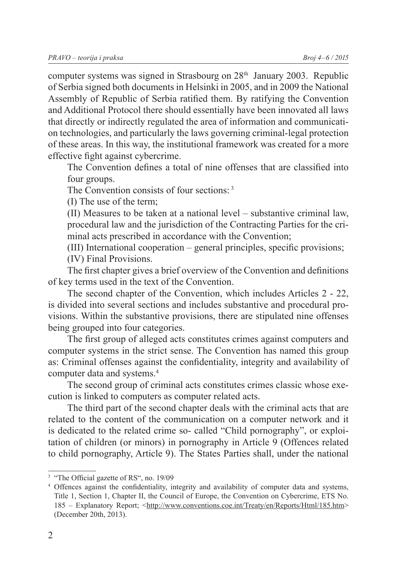computer systems was signed in Strasbourg on  $28<sup>th</sup>$  January 2003. Republic of Serbia signed both documents in Helsinki in 2005, and in 2009 the National Assembly of Republic of Serbia ratified them. By ratifying the Convention and Additional Protocol there should essentially have been innovated all laws that directly or indirectly regulated the area of information and communication technologies, and particularly the laws governing criminal-legal protection of these areas. In this way, the institutional framework was created for a more effective fight against cybercrime.

The Convention defines a total of nine offenses that are classified into four groups.

The Convention consists of four sections: 3

(I) The use of the term;

(II) Measures to be taken at a national level – substantive criminal law, procedural law and the jurisdiction of the Contracting Parties for the criminal acts prescribed in accordance with the Convention;

(III) International cooperation – general principles, specific provisions;

(IV) Final Provisions.

The first chapter gives a brief overview of the Convention and definitions of key terms used in the text of the Convention.

The second chapter of the Convention, which includes Articles 2 - 22, is divided into several sections and includes substantive and procedural provisions. Within the substantive provisions, there are stipulated nine offenses being grouped into four categories.

The first group of alleged acts constitutes crimes against computers and computer systems in the strict sense. The Convention has named this group as: Criminal offenses against the confidentiality, integrity and availability of computer data and systems.<sup>4</sup>

The second group of criminal acts constitutes crimes classic whose execution is linked to computers as computer related acts.

The third part of the second chapter deals with the criminal acts that are related to the content of the communication on a computer network and it is dedicated to the related crime so- called "Child pornography", or exploitation of children (or minors) in pornography in Article 9 (Offences related to child pornography, Article 9). The States Parties shall, under the national

<sup>&</sup>lt;sup>3</sup> "The Official gazette of RS", no. 19/09

<sup>4</sup> Offences against the confidentiality, integrity and availability of computer data and systems, Title 1, Section 1, Chapter II, the Council of Europe, the Convention on Cybercrime, ETS No. 185 – Explanatory Report; <http://www.conventions.coe.int/Treaty/en/Reports/Html/185.htm> (December 20th, 2013).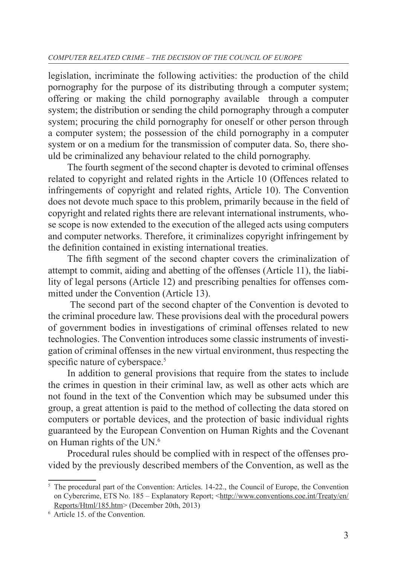legislation, incriminate the following activities: the production of the child pornography for the purpose of its distributing through a computer system; offering or making the child pornography available through a computer system; the distribution or sending the child pornography through a computer system; procuring the child pornography for oneself or other person through a computer system; the possession of the child pornography in a computer system or on a medium for the transmission of computer data. So, there should be criminalized any behaviour related to the child pornography.

The fourth segment of the second chapter is devoted to criminal offenses related to copyright and related rights in the Article 10 (Offences related to infringements of copyright and related rights, Article 10). The Convention does not devote much space to this problem, primarily because in the field of copyright and related rights there are relevant international instruments, whose scope is now extended to the execution of the alleged acts using computers and computer networks. Therefore, it criminalizes copyright infringement by the definition contained in existing international treaties.

The fifth segment of the second chapter covers the criminalization of attempt to commit, aiding and abetting of the offenses (Article 11), the liability of legal persons (Article 12) and prescribing penalties for offenses committed under the Convention (Article 13).

 The second part of the second chapter of the Convention is devoted to the criminal procedure law. These provisions deal with the procedural powers of government bodies in investigations of criminal offenses related to new technologies. The Convention introduces some classic instruments of investigation of criminal offenses in the new virtual environment, thus respecting the specific nature of cyberspace.<sup>5</sup>

In addition to general provisions that require from the states to include the crimes in question in their criminal law, as well as other acts which are not found in the text of the Convention which may be subsumed under this group, a great attention is paid to the method of collecting the data stored on computers or portable devices, and the protection of basic individual rights guaranteed by the European Convention on Human Rights and the Covenant on Human rights of the UN.<sup>6</sup>

Procedural rules should be complied with in respect of the offenses provided by the previously described members of the Convention, as well as the

 $5$  The procedural part of the Convention: Articles. 14-22., the Council of Europe, the Convention on Cybercrime, ETS No. 185 – Explanatory Report; <http://www.conventions.coe.int/Treaty/en/ Reports/Html/185.htm> (December 20th, 2013)

<sup>6</sup> Article 15. of the Convention.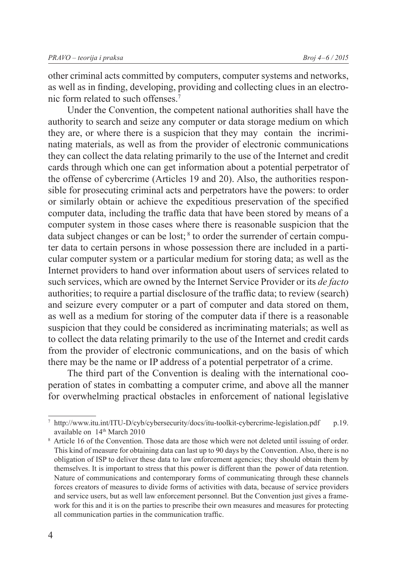other criminal acts committed by computers, computer systems and networks, as well as in finding, developing, providing and collecting clues in an electronic form related to such offenses.7

Under the Convention, the competent national authorities shall have the authority to search and seize any computer or data storage medium on which they are, or where there is a suspicion that they may contain the incriminating materials, as well as from the provider of electronic communications they can collect the data relating primarily to the use of the Internet and credit cards through which one can get information about a potential perpetrator of the offense of cybercrime (Articles 19 and 20). Also, the authorities responsible for prosecuting criminal acts and perpetrators have the powers: to order or similarly obtain or achieve the expeditious preservation of the specified computer data, including the traffic data that have been stored by means of a computer system in those cases where there is reasonable suspicion that the data subject changes or can be lost; 8 to order the surrender of certain computer data to certain persons in whose possession there are included in a particular computer system or a particular medium for storing data; as well as the Internet providers to hand over information about users of services related to such services, which are owned by the Internet Service Provider or its *de facto* authorities; to require a partial disclosure of the traffic data; to review (search) and seizure every computer or a part of computer and data stored on them, as well as a medium for storing of the computer data if there is a reasonable suspicion that they could be considered as incriminating materials; as well as to collect the data relating primarily to the use of the Internet and credit cards from the provider of electronic communications, and on the basis of which there may be the name or IP address of a potential perpetrator of a crime.

The third part of the Convention is dealing with the international cooperation of states in combatting a computer crime, and above all the manner for overwhelming practical obstacles in enforcement of national legislative

<sup>&</sup>lt;sup>7</sup> http://www.itu.int/ITU-D/cyb/cybersecurity/docs/itu-toolkit-cybercrime-legislation.pdf p.19. available on 14<sup>th</sup> March 2010

<sup>8</sup> Article 16 of the Convention. Those data are those which were not deleted until issuing of order. This kind of measure for obtaining data can last up to 90 days by the Convention. Also, there is no obligation of ISP to deliver these data to law enforcement agencies; they should obtain them by themselves. It is important to stress that this power is different than the power of data retention. Nature of communications and contemporary forms of communicating through these channels forces creators of measures to divide forms of activities with data, because of service providers and service users, but as well law enforcement personnel. But the Convention just gives a framework for this and it is on the parties to prescribe their own measures and measures for protecting all communication parties in the communication traffic.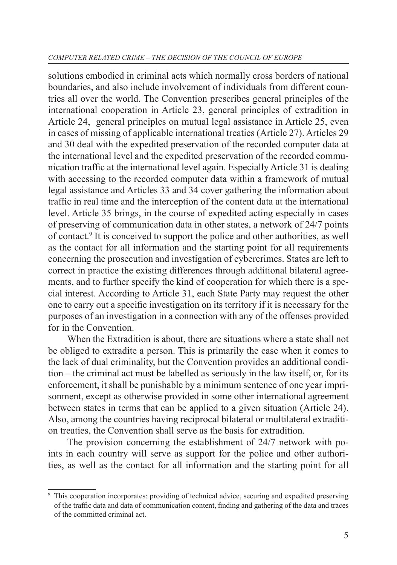#### *COMPUTER RELATED CRIME – THE DECISION OF THE COUNCIL OF EUROPE*

solutions embodied in criminal acts which normally cross borders of national boundaries, and also include involvement of individuals from different countries all over the world. The Convention prescribes general principles of the international cooperation in Article 23, general principles of extradition in Article 24, general principles on mutual legal assistance in Article 25, even in cases of missing of applicable international treaties (Article 27). Articles 29 and 30 deal with the expedited preservation of the recorded computer data at the international level and the expedited preservation of the recorded communication traffic at the international level again. Especially Article 31 is dealing with accessing to the recorded computer data within a framework of mutual legal assistance and Articles 33 and 34 cover gathering the information about traffic in real time and the interception of the content data at the international level. Article 35 brings, in the course of expedited acting especially in cases of preserving of communication data in other states, a network of 24/7 points of contact.<sup>9</sup> It is conceived to support the police and other authorities, as well as the contact for all information and the starting point for all requirements concerning the prosecution and investigation of cybercrimes. States are left to correct in practice the existing differences through additional bilateral agreements, and to further specify the kind of cooperation for which there is a special interest. According to Article 31, each State Party may request the other one to carry out a specific investigation on its territory if it is necessary for the purposes of an investigation in a connection with any of the offenses provided for in the Convention.

When the Extradition is about, there are situations where a state shall not be obliged to extradite a person. This is primarily the case when it comes to the lack of dual criminality, but the Convention provides an additional condition – the criminal act must be labelled as seriously in the law itself, or, for its enforcement, it shall be punishable by a minimum sentence of one year imprisonment, except as otherwise provided in some other international agreement between states in terms that can be applied to a given situation (Article 24). Also, among the countries having reciprocal bilateral or multilateral extradition treaties, the Convention shall serve as the basis for extradition.

The provision concerning the establishment of 24/7 network with points in each country will serve as support for the police and other authorities, as well as the contact for all information and the starting point for all

<sup>9</sup> This cooperation incorporates: providing of technical advice, securing and expedited preserving of the traffic data and data of communication content, finding and gathering of the data and traces of the committed criminal act.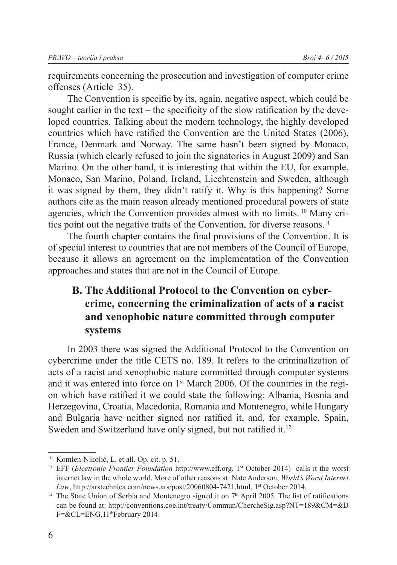requirements concerning the prosecution and investigation of computer crime offenses (Article 35).

The Convention is specific by its, again, negative aspect, which could be sought earlier in the text – the specificity of the slow ratification by the developed countries. Talking about the modern technology, the highly developed countries which have ratified the Convention are the United States (2006), France, Denmark and Norway. The same hasn't been signed by Monaco, Russia (which clearly refused to join the signatories in August 2009) and San Marino. On the other hand, it is interesting that within the EU, for example, Monaco, San Marino, Poland, Ireland, Liechtenstein and Sweden, although it was signed by them, they didn't ratify it. Why is this happening? Some authors cite as the main reason already mentioned procedural powers of state agencies, which the Convention provides almost with no limits. 10 Many critics point out the negative traits of the Convention, for diverse reasons.<sup>11</sup>

The fourth chapter contains the final provisions of the Convention. It is of special interest to countries that are not members of the Council of Europe, because it allows an agreement on the implementation of the Convention approaches and states that are not in the Council of Europe.

## **B. The Additional Protocol to the Convention on cybercrime, concerning the criminalization of acts of a racist and xenophobic nature committed through computer systems**

In 2003 there was signed the Additional Protocol to the Convention on cybercrime under the title CETS no. 189. It refers to the criminalization of acts of a racist and xenophobic nature committed through computer systems and it was entered into force on 1st March 2006. Of the countries in the region which have ratified it we could state the following: Albania, Bosnia and Herzegovina, Croatia, Macedonia, Romania and Montenegro, while Hungary and Bulgaria have neither signed nor ratified it, and, for example, Spain, Sweden and Switzerland have only signed, but not ratified it.<sup>12</sup>

<sup>10</sup> Komlen-Nikolić, L. et all. Op. cit. p. 51.

<sup>&</sup>lt;sup>11</sup> EFF (*Electronic Frontier Foundation* http://www.eff.org, 1<sup>st</sup> October 2014) calls it the worst internet law in the whole world. More of other reasons at: Nate Anderson, *World's Worst Internet*  Law, http://arstechnica.com/news.ars/post/20060804-7421.html, 1<sup>st</sup> October 2014.

<sup>&</sup>lt;sup>12</sup> The State Union of Serbia and Montenegro signed it on  $7<sup>th</sup>$  April 2005. The list of ratifications can be found at: http://conventions.coe.int/treaty/Commun/ChercheSig.asp?NT=189&CМ=&D F=&CL=ENG,11thFebruary 2014.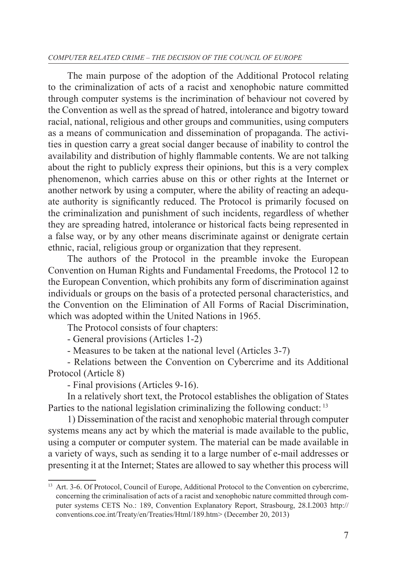#### *COMPUTER RELATED CRIME – THE DECISION OF THE COUNCIL OF EUROPE*

The main purpose of the adoption of the Additional Protocol relating to the criminalization of acts of a racist and xenophobic nature committed through computer systems is the incrimination of behaviour not covered by the Convention as well as the spread of hatred, intolerance and bigotry toward racial, national, religious and other groups and communities, using computers as a means of communication and dissemination of propaganda. The activities in question carry a great social danger because of inability to control the availability and distribution of highly flammable contents. We are not talking about the right to publicly express their opinions, but this is a very complex phenomenon, which carries abuse on this or other rights at the Internet or another network by using a computer, where the ability of reacting an adequate authority is significantly reduced. The Protocol is primarily focused on the criminalization and punishment of such incidents, regardless of whether they are spreading hatred, intolerance or historical facts being represented in a false way, or by any other means discriminate against or denigrate certain ethnic, racial, religious group or organization that they represent.

The authors of the Protocol in the preamble invoke the European Convention on Human Rights and Fundamental Freedoms, the Protocol 12 to the European Convention, which prohibits any form of discrimination against individuals or groups on the basis of a protected personal characteristics, and the Convention on the Elimination of All Forms of Racial Discrimination, which was adopted within the United Nations in 1965.

The Protocol consists of four chapters:

- General provisions (Articles 1-2)

- Measures to be taken at the national level (Articles 3-7)

- Relations between the Convention on Cybercrime and its Additional Protocol (Article 8)

- Final provisions (Articles 9-16).

In a relatively short text, the Protocol establishes the obligation of States Parties to the national legislation criminalizing the following conduct:<sup>13</sup>

1) Dissemination of the racist and xenophobic material through computer systems means any act by which the material is made available to the public, using a computer or computer system. The material can be made available in a variety of ways, such as sending it to a large number of e-mail addresses or presenting it at the Internet; States are allowed to say whether this process will

<sup>&</sup>lt;sup>13</sup> Art. 3-6. Of Protocol, Council of Europe, Additional Protocol to the Convention on cybercrime, concerning the criminalisation of acts of a racist and xenophobic nature committed through computer systems CETS No.: 189, Convention Explanatory Report, Strasbourg, 28.I.2003 http:// conventions.coe.int/Treaty/en/Treaties/Html/189.htm> (December 20, 2013)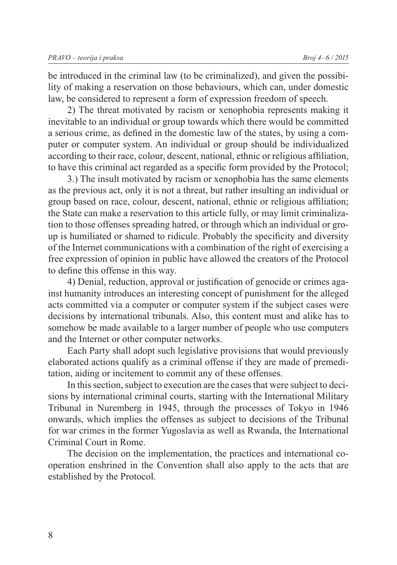be introduced in the criminal law (to be criminalized), and given the possibility of making a reservation on those behaviours, which can, under domestic law, be considered to represent a form of expression freedom of speech.

2) The threat motivated by racism or xenophobia represents making it inevitable to an individual or group towards which there would be committed a serious crime, as defined in the domestic law of the states, by using a computer or computer system. An individual or group should be individualized according to their race, colour, descent, national, ethnic or religious affiliation, to have this criminal act regarded as a specific form provided by the Protocol;

3.) The insult motivated by racism or xenophobia has the same elements as the previous act, only it is not a threat, but rather insulting an individual or group based on race, colour, descent, national, ethnic or religious affiliation; the State can make a reservation to this article fully, or may limit criminalization to those offenses spreading hatred, or through which an individual or group is humiliated or shamed to ridicule. Probably the specificity and diversity of the Internet communications with a combination of the right of exercising a free expression of opinion in public have allowed the creators of the Protocol to define this offense in this way.

4) Denial, reduction, approval or justification of genocide or crimes against humanity introduces an interesting concept of punishment for the alleged acts committed via a computer or computer system if the subject cases were decisions by international tribunals. Also, this content must and alike has to somehow be made available to a larger number of people who use computers and the Internet or other computer networks.

Each Party shall adopt such legislative provisions that would previously elaborated actions qualify as a criminal offense if they are made of premeditation, aiding or incitement to commit any of these offenses.

In this section, subject to execution are the cases that were subject to decisions by international criminal courts, starting with the International Military Tribunal in Nuremberg in 1945, through the processes of Tokyo in 1946 onwards, which implies the offenses as subject to decisions of the Tribunal for war crimes in the former Yugoslavia as well as Rwanda, the International Criminal Court in Rome.

The decision on the implementation, the practices and international cooperation enshrined in the Convention shall also apply to the acts that are established by the Protocol.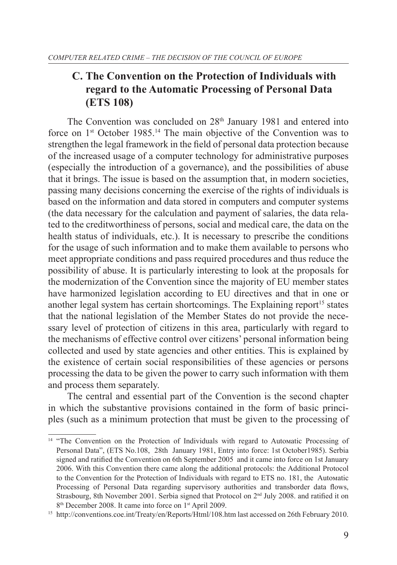## **C. The Convention on the Protection of Individuals with regard to the Automatic Processing of Personal Data (ETS 108)**

The Convention was concluded on  $28<sup>th</sup>$  January 1981 and entered into force on  $1<sup>st</sup>$  October 1985.<sup>14</sup> The main objective of the Convention was to strengthen the legal framework in the field of personal data protection because of the increased usage of a computer technology for administrative purposes (especially the introduction of a governance), and the possibilities of abuse that it brings. The issue is based on the assumption that, in modern societies, passing many decisions concerning the exercise of the rights of individuals is based on the information and data stored in computers and computer systems (the data necessary for the calculation and payment of salaries, the data related to the creditworthiness of persons, social and medical care, the data on the health status of individuals, etc.). It is necessary to prescribe the conditions for the usage of such information and to make them available to persons who meet appropriate conditions and pass required procedures and thus reduce the possibility of abuse. It is particularly interesting to look at the proposals for the modernization of the Convention since the majority of EU member states have harmonized legislation according to EU directives and that in one or another legal system has certain shortcomings. The Explaining report<sup>15</sup> states that the national legislation of the Member States do not provide the necessary level of protection of citizens in this area, particularly with regard to the mechanisms of effective control over citizens' personal information being collected and used by state agencies and other entities. This is explained by the existence of certain social responsibilities of these agencies or persons processing the data to be given the power to carry such information with them and process them separately.

The central and essential part of the Convention is the second chapter in which the substantive provisions contained in the form of basic principles (such as a minimum protection that must be given to the processing of

<sup>&</sup>lt;sup>14</sup> "The Convention on the Protection of Individuals with regard to Automatic Processing of Personal Data", (ETS No.108, 28th January 1981, Entry into force: 1st October1985). Serbia signed and ratified the Convention on 6th September 2005 and it came into force on 1st January 2006. With this Convention there came along the additional protocols: the Additional Protocol to the Convention for the Protection of Individuals with regard to ЕТS no. 181, the Autoмatic Processing of Personal Data regarding supervisory authorities and transborder data flows, Strasbourg, 8th November 2001. Serbia signed that Protocol on 2<sup>nd</sup> July 2008. and ratified it on 8<sup>th</sup> December 2008. It came into force on 1<sup>st</sup> April 2009.

<sup>15</sup> http://conventions.coe.int/Treaty/en/Reports/Html/108.htm last accessed on 26th February 2010.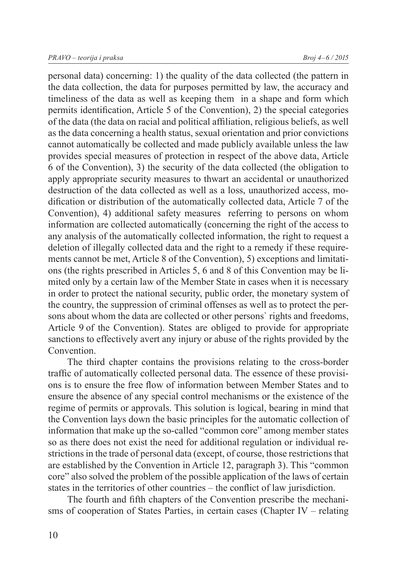personal data) concerning: 1) the quality of the data collected (the pattern in the data collection, the data for purposes permitted by law, the accuracy and timeliness of the data as well as keeping them in a shape and form which permits identification, Article 5 of the Convention), 2) the special categories of the data (the data on racial and political affiliation, religious beliefs, as well as the data concerning a health status, sexual orientation and prior convictions cannot automatically be collected and made publicly available unless the law provides special measures of protection in respect of the above data, Article 6 of the Convention), 3) the security of the data collected (the obligation to apply appropriate security measures to thwart an accidental or unauthorized destruction of the data collected as well as a loss, unauthorized access, modification or distribution of the automatically collected data, Article 7 of the Convention), 4) additional safety measures referring to persons on whom information are collected automatically (concerning the right of the access to any analysis of the automatically collected information, the right to request a deletion of illegally collected data and the right to a remedy if these requirements cannot be met, Article 8 of the Convention), 5) exceptions and limitations (the rights prescribed in Articles 5, 6 and 8 of this Convention may be limited only by a certain law of the Member State in cases when it is necessary in order to protect the national security, public order, the monetary system of the country, the suppression of criminal offenses as well as to protect the persons about whom the data are collected or other persons` rights and freedoms, Article 9 of the Convention). States are obliged to provide for appropriate sanctions to effectively avert any injury or abuse of the rights provided by the Convention.

The third chapter contains the provisions relating to the cross-border traffic of automatically collected personal data. The essence of these provisions is to ensure the free flow of information between Member States and to ensure the absence of any special control mechanisms or the existence of the regime of permits or approvals. This solution is logical, bearing in mind that the Convention lays down the basic principles for the automatic collection of information that make up the so-called "common core" among member states so as there does not exist the need for additional regulation or individual restrictions in the trade of personal data (except, of course, those restrictions that are established by the Convention in Article 12, paragraph 3). This "common core" also solved the problem of the possible application of the laws of certain states in the territories of other countries – the conflict of law jurisdiction.

The fourth and fifth chapters of the Convention prescribe the mechanisms of cooperation of States Parties, in certain cases (Chapter IV – relating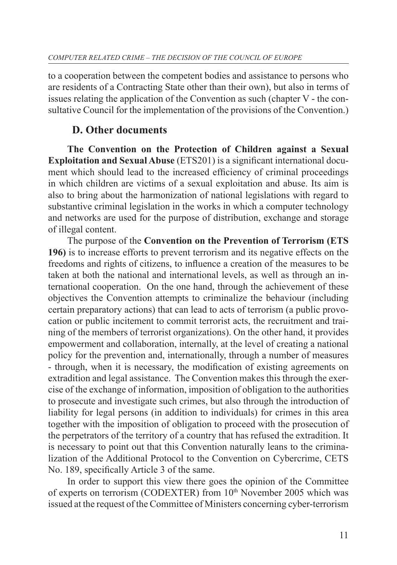to a cooperation between the competent bodies and assistance to persons who are residents of a Contracting State other than their own), but also in terms of issues relating the application of the Convention as such (chapter V - the consultative Council for the implementation of the provisions of the Convention.)

### **D. Other documents**

**The Convention on the Protection of Children against a Sexual Exploitation and Sexual Abuse** (ETS201) is a significant international document which should lead to the increased efficiency of criminal proceedings in which children are victims of a sexual exploitation and abuse. Its aim is also to bring about the harmonization of national legislations with regard to substantive criminal legislation in the works in which a computer technology and networks are used for the purpose of distribution, exchange and storage of illegal content.

The purpose of the **Convention on the Prevention of Terrorism (ETS 196)** is to increase efforts to prevent terrorism and its negative effects on the freedoms and rights of citizens, to influence a creation of the measures to be taken at both the national and international levels, as well as through an international cooperation. On the one hand, through the achievement of these objectives the Convention attempts to criminalize the behaviour (including certain preparatory actions) that can lead to acts of terrorism (a public provocation or public incitement to commit terrorist acts, the recruitment and training of the members of terrorist organizations). On the other hand, it provides empowerment and collaboration, internally, at the level of creating a national policy for the prevention and, internationally, through a number of measures - through, when it is necessary, the modification of existing agreements on extradition and legal assistance. The Convention makes this through the exercise of the exchange of information, imposition of obligation to the authorities to prosecute and investigate such crimes, but also through the introduction of liability for legal persons (in addition to individuals) for crimes in this area together with the imposition of obligation to proceed with the prosecution of the perpetrators of the territory of a country that has refused the extradition. It is necessary to point out that this Convention naturally leans to the criminalization of the Additional Protocol to the Convention on Cybercrime, CETS No. 189, specifically Article 3 of the same.

In order to support this view there goes the opinion of the Committee of experts on terrorism (CODEXTER) from 10<sup>th</sup> November 2005 which was issued at the request of the Committee of Ministers concerning cyber-terrorism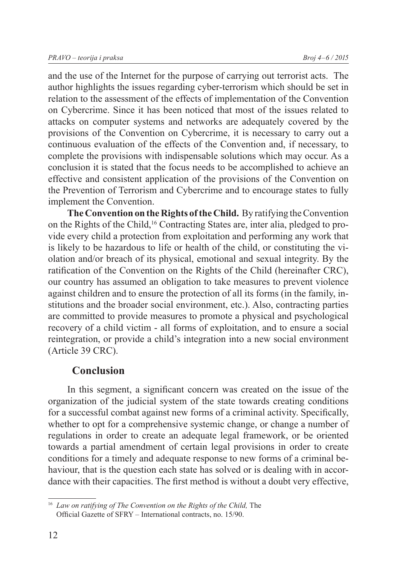and the use of the Internet for the purpose of carrying out terrorist acts. The author highlights the issues regarding cyber-terrorism which should be set in relation to the assessment of the effects of implementation of the Convention on Cybercrime. Since it has been noticed that most of the issues related to attacks on computer systems and networks are adequately covered by the provisions of the Convention on Cybercrime, it is necessary to carry out a continuous evaluation of the effects of the Convention and, if necessary, to complete the provisions with indispensable solutions which may occur. As a conclusion it is stated that the focus needs to be accomplished to achieve an effective and consistent application of the provisions of the Convention on the Prevention of Terrorism and Cybercrime and to encourage states to fully implement the Convention.

**The Convention on the Rights of the Child.** By ratifying the Convention on the Rights of the Child,16 Contracting States are, inter alia, pledged to provide every child a protection from exploitation and performing any work that is likely to be hazardous to life or health of the child, or constituting the violation and/or breach of its physical, emotional and sexual integrity. By the ratification of the Convention on the Rights of the Child (hereinafter CRC), our country has assumed an obligation to take measures to prevent violence against children and to ensure the protection of all its forms (in the family, institutions and the broader social environment, etc.). Also, contracting parties are committed to provide measures to promote a physical and psychological recovery of a child victim - all forms of exploitation, and to ensure a social reintegration, or provide a child's integration into a new social environment (Article 39 CRC).

#### **Conclusion**

In this segment, a significant concern was created on the issue of the organization of the judicial system of the state towards creating conditions for a successful combat against new forms of a criminal activity. Specifically, whether to opt for a comprehensive systemic change, or change a number of regulations in order to create an adequate legal framework, or be oriented towards a partial amendment of certain legal provisions in order to create conditions for a timely and adequate response to new forms of a criminal behaviour, that is the question each state has solved or is dealing with in accordance with their capacities. The first method is without a doubt very effective,

<sup>16</sup> *Law on ratifying of The Convention on the Rights of the Child,* The Official Gazette of SFRY – International contracts, no. 15/90.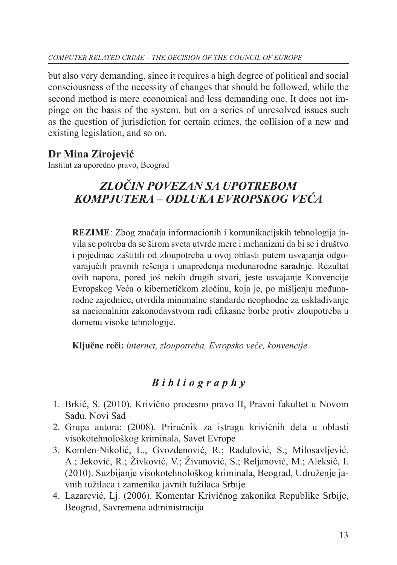but also very demanding, since it requires a high degree of political and social consciousness of the necessity of changes that should be followed, while the second method is more economical and less demanding one. It does not impinge on the basis of the system, but on a series of unresolved issues such as the question of jurisdiction for certain crimes, the collision of a new and existing legislation, and so on.

## **Dr Mina Zirojević**

Institut za uporedno pravo, Beograd

# *ZLOČIN POVEZAN SA UPOTREBOM KOMPJUTERA – ODLUKA EVROPSKOG VEĆA*

**REZIME**: Zbog značaja informacionih i komunikacijskih tehnologija javila se potreba da se širom sveta utvrde mere i mehanizmi da bi se i društvo i pojedinac zaštitili od zloupotreba u ovoj oblasti putem usvajanja odgovarajućih pravnih rešenja i unapređenja međunarodne saradnje. Rezultat ovih napora, pored još nekih drugih stvari, jeste usvajanje Konvencije Evropskog Veća o kibernetičkom zločinu, koja je, po mišljenju međunarodne zajednice, utvrdila minimalne standarde neophodne za usklađivanje sa nacionalnim zakonodavstvom radi efikasne borbe protiv zloupotreba u domenu visoke tehnologije.

**Ključne reči:** *internet, zloupotreba, Evropsko veće, konvencije.*

# *B i b l i o g r a p h y*

- 1. Brkić, S. (2010). Krivično procesno pravo II, Pravni fakultet u Novom Sadu, Novi Sad
- 2. Grupa autora: (2008). Priručnik za istragu krivičnih dela u oblasti visokotehnološkog kriminala, Savet Evrope
- 3. Komlen-Nikolić, L., Gvozdenović, R.; Radulović, S.; Milosavljević, A.; Jeković, R.; Živković, V.; Živanović, S.; Reljanović, M.; Aleksić, I. (2010). Suzbijanje visokotehnološkog kriminala, Beograd, Udruženje javnih tužilaca i zamenika javnih tužilaca Srbije
- 4. Lazarević, Lj. (2006). Komentar Krivičnog zakonika Republike Srbije, Beograd, Savremena administracija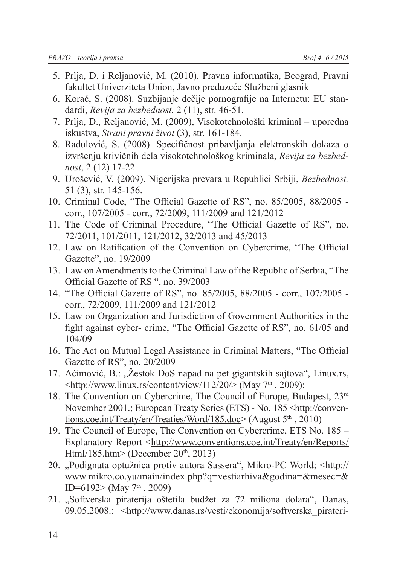- 5. Prlja, D. i Reljanović, M. (2010). Pravna informatika, Beograd, Pravni fakultet Univerziteta Union, Javno preduzeće Službeni glasnik
- 6. Korać, S. (2008). Suzbijanje dečije pornografije na Internetu: EU standardi, *Revija za bezbednost.* 2 (11), str. 46-51.
- 7. Prlja, D., Reljanović, M. (2009), Visokotehnološki kriminal uporedna iskustva, *Strani pravni život* (3), str. 161-184.
- 8. Radulović, S. (2008). Specifičnost pribavljanja elektronskih dokaza o izvršenju krivičnih dela visokotehnološkog kriminala, *Revija za bezbednost*, 2 (12) 17-22
- 9. Urošević, V. (2009). Nigerijska prevara u Republici Srbiji, *Bezbednost,* 51 (3), str. 145-156.
- 10. Criminal Code, "The Official Gazette of RS", no. 85/2005, 88/2005 corr., 107/2005 - corr., 72/2009, 111/2009 and 121/2012
- 11. The Code of Criminal Procedure, "The Official Gazette of RS", no. 72/2011, 101/2011, 121/2012, 32/2013 and 45/2013
- 12. Law on Ratification of the Convention on Cybercrime, "The Official Gazette", no. 19/2009
- 13. Law on Amendments to the Criminal Law of the Republic of Serbia, "The Official Gazette of RS ", no. 39/2003
- 14. "The Official Gazette of RS", no. 85/2005, 88/2005 corr., 107/2005 corr., 72/2009, 111/2009 and 121/2012
- 15. Law on Organization and Jurisdiction of Government Authorities in the fight against cyber- crime, "The Official Gazette of RS", no. 61/05 and 104/09
- 16. The Act on Mutual Legal Assistance in Criminal Matters, "The Official Gazette of RS", no. 20/2009
- 17. Aćimović, B.: "Žestok DoS napad na pet gigantskih sajtova", Linux.rs,  $\langle \text{http://www.linux.rs/content/view/112/20/}(May 7<sup>th</sup>, 2009);$
- 18. The Convention on Cybercrime, The Council of Europe, Budapest, 23<sup>rd</sup> November 2001.; European Treaty Series (ETS) - No. 185 <http://conventions.coe.int/Treaty/en/Treaties/Word/185.doc> (August  $5<sup>th</sup>$ , 2010)
- 19. The Council of Europe, The Convention on Cybercrime, ETS No. 185 Explanatory Report <http://www.conventions.coe.int/Treaty/en/Reports/ Html/185.htm> (December  $20<sup>th</sup>$ , 2013)
- 20. "Podignuta optužnica protiv autora Sassera", Mikro-PC World; <http:// www.mikro.co.yu/main/index.php?q=vestiarhiva&godina=&mesec=& ID=6192> (May  $7<sup>th</sup>$ , 2009)
- 21. "Softverska piraterija oštetila budžet za 72 miliona dolara", Danas, 09.05.2008.; <http://www.danas.rs/vesti/ekonomija/softverska pirateri-